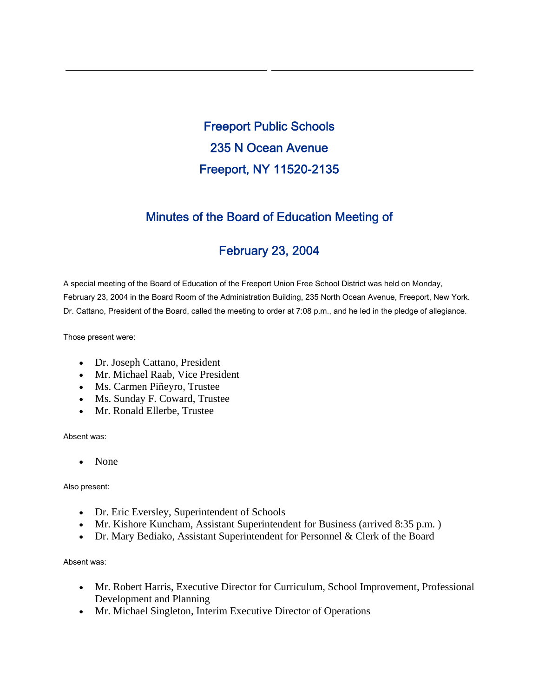Freeport Public Schools 235 N Ocean Avenue Freeport, NY 11520-2135

## Minutes of the Board of Education Meeting of

# February 23, 2004

A special meeting of the Board of Education of the Freeport Union Free School District was held on Monday, February 23, 2004 in the Board Room of the Administration Building, 235 North Ocean Avenue, Freeport, New York. Dr. Cattano, President of the Board, called the meeting to order at 7:08 p.m., and he led in the pledge of allegiance.

Those present were:

- Dr. Joseph Cattano, President
- Mr. Michael Raab, Vice President
- Ms. Carmen Piñeyro, Trustee
- Ms. Sunday F. Coward, Trustee
- Mr. Ronald Ellerbe, Trustee

Absent was:

• None

Also present:

- Dr. Eric Eversley, Superintendent of Schools
- Mr. Kishore Kuncham, Assistant Superintendent for Business (arrived 8:35 p.m.)
- Dr. Mary Bediako, Assistant Superintendent for Personnel & Clerk of the Board

Absent was:

- Mr. Robert Harris, Executive Director for Curriculum, School Improvement, Professional Development and Planning
- Mr. Michael Singleton, Interim Executive Director of Operations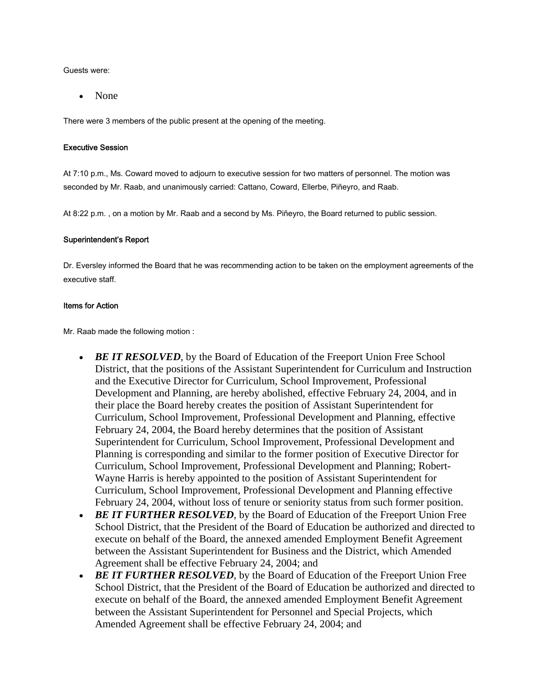Guests were:

• None

There were 3 members of the public present at the opening of the meeting.

#### Executive Session

At 7:10 p.m., Ms. Coward moved to adjourn to executive session for two matters of personnel. The motion was seconded by Mr. Raab, and unanimously carried: Cattano, Coward, Ellerbe, Piñeyro, and Raab.

At 8:22 p.m. , on a motion by Mr. Raab and a second by Ms. Piñeyro, the Board returned to public session.

#### Superintendent's Report

Dr. Eversley informed the Board that he was recommending action to be taken on the employment agreements of the executive staff.

#### Items for Action

Mr. Raab made the following motion :

- *BE IT RESOLVED*, by the Board of Education of the Freeport Union Free School District, that the positions of the Assistant Superintendent for Curriculum and Instruction and the Executive Director for Curriculum, School Improvement, Professional Development and Planning, are hereby abolished, effective February 24, 2004, and in their place the Board hereby creates the position of Assistant Superintendent for Curriculum, School Improvement, Professional Development and Planning, effective February 24, 2004, the Board hereby determines that the position of Assistant Superintendent for Curriculum, School Improvement, Professional Development and Planning is corresponding and similar to the former position of Executive Director for Curriculum, School Improvement, Professional Development and Planning; Robert-Wayne Harris is hereby appointed to the position of Assistant Superintendent for Curriculum, School Improvement, Professional Development and Planning effective February 24, 2004, without loss of tenure or seniority status from such former position.
- *BE IT FURTHER RESOLVED*, by the Board of Education of the Freeport Union Free School District, that the President of the Board of Education be authorized and directed to execute on behalf of the Board, the annexed amended Employment Benefit Agreement between the Assistant Superintendent for Business and the District, which Amended Agreement shall be effective February 24, 2004; and
- *BE IT FURTHER RESOLVED*, by the Board of Education of the Freeport Union Free School District, that the President of the Board of Education be authorized and directed to execute on behalf of the Board, the annexed amended Employment Benefit Agreement between the Assistant Superintendent for Personnel and Special Projects, which Amended Agreement shall be effective February 24, 2004; and